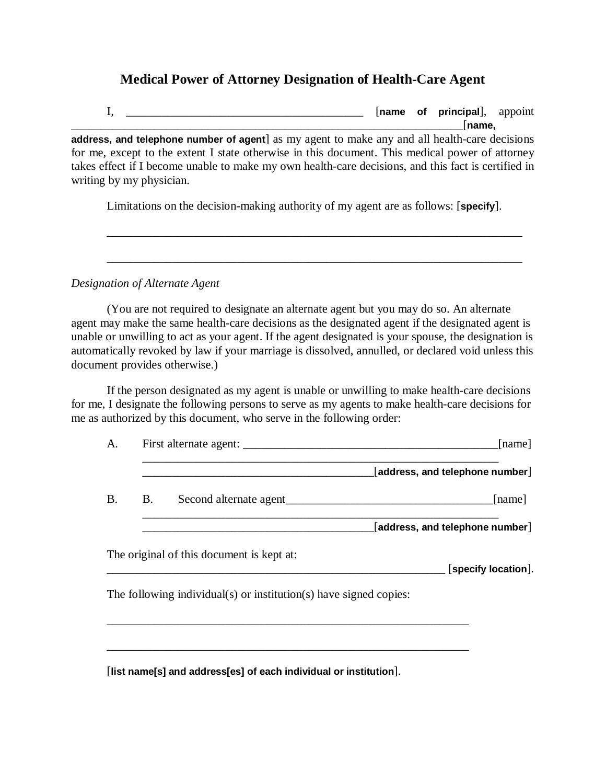## **Medical Power of Attorney Designation of Health-Care Agent**

|                                                                                                     |  | [name of principal], appoint |  |
|-----------------------------------------------------------------------------------------------------|--|------------------------------|--|
|                                                                                                     |  | Iname.                       |  |
| address, and telephone number of agent] as my agent to make any and all health-care decisions       |  |                              |  |
| for me, except to the extent I state otherwise in this document. This medical power of attorney     |  |                              |  |
| takes effect if I become unable to make my own health-care decisions, and this fact is certified in |  |                              |  |

Limitations on the decision-making authority of my agent are as follows: [**specify**].

\_\_\_\_\_\_\_\_\_\_\_\_\_\_\_\_\_\_\_\_\_\_\_\_\_\_\_\_\_\_\_\_\_\_\_\_\_\_\_\_\_\_\_\_\_\_\_\_\_\_\_\_\_\_\_\_\_\_\_\_\_\_\_\_\_\_\_\_\_\_

\_\_\_\_\_\_\_\_\_\_\_\_\_\_\_\_\_\_\_\_\_\_\_\_\_\_\_\_\_\_\_\_\_\_\_\_\_\_\_\_\_\_\_\_\_\_\_\_\_\_\_\_\_\_\_\_\_\_\_\_\_\_\_\_\_\_\_\_\_\_

*Designation of Alternate Agent*

writing by my physician.

(You are not required to designate an alternate agent but you may do so. An alternate agent may make the same health-care decisions as the designated agent if the designated agent is unable or unwilling to act as your agent. If the agent designated is your spouse, the designation is automatically revoked by law if your marriage is dissolved, annulled, or declared void unless this document provides otherwise.)

If the person designated as my agent is unable or unwilling to make health-care decisions for me, I designate the following persons to serve as my agents to make health-care decisions for me as authorized by this document, who serve in the following order:

| A.        |           | First alternate agent:                                            | [name]                          |
|-----------|-----------|-------------------------------------------------------------------|---------------------------------|
|           |           |                                                                   | [address, and telephone number] |
| <b>B.</b> | <b>B.</b> |                                                                   | [name]                          |
|           |           |                                                                   | [address, and telephone number] |
|           |           | The original of this document is kept at:                         | [specify location].             |
|           |           | The following individual(s) or institution(s) have signed copies: |                                 |
|           |           |                                                                   |                                 |
|           |           |                                                                   |                                 |
|           |           | [list name[s] and address[es] of each individual or institution]. |                                 |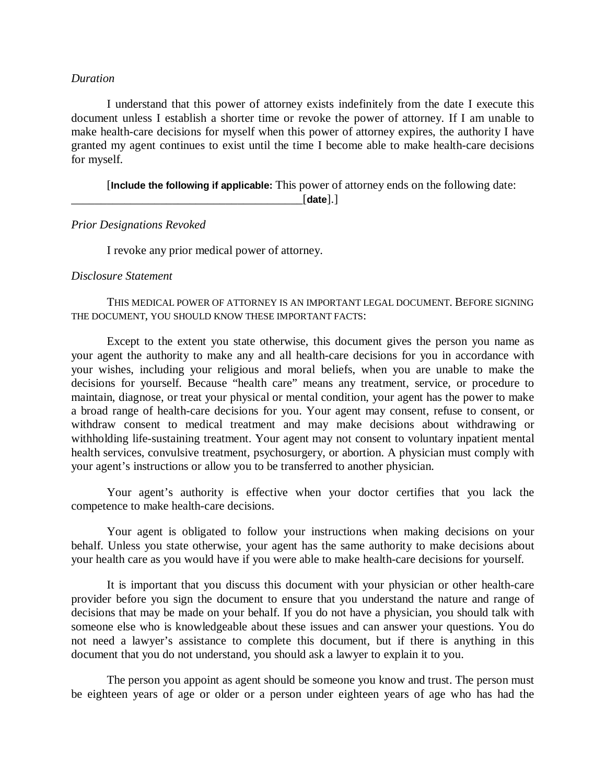## *Duration*

I understand that this power of attorney exists indefinitely from the date I execute this document unless I establish a shorter time or revoke the power of attorney. If I am unable to make health-care decisions for myself when this power of attorney expires, the authority I have granted my agent continues to exist until the time I become able to make health-care decisions for myself.

[**Include the following if applicable:** This power of attorney ends on the following date: \_\_\_\_\_\_\_\_\_\_\_\_\_\_\_\_\_\_\_\_\_\_\_\_\_\_\_\_\_\_\_\_\_\_\_\_\_\_\_[**date**].]

## *Prior Designations Revoked*

I revoke any prior medical power of attorney.

## *Disclosure Statement*

THIS MEDICAL POWER OF ATTORNEY IS AN IMPORTANT LEGAL DOCUMENT. BEFORE SIGNING THE DOCUMENT, YOU SHOULD KNOW THESE IMPORTANT FACTS:

Except to the extent you state otherwise, this document gives the person you name as your agent the authority to make any and all health-care decisions for you in accordance with your wishes, including your religious and moral beliefs, when you are unable to make the decisions for yourself. Because "health care" means any treatment, service, or procedure to maintain, diagnose, or treat your physical or mental condition, your agent has the power to make a broad range of health-care decisions for you. Your agent may consent, refuse to consent, or withdraw consent to medical treatment and may make decisions about withdrawing or withholding life-sustaining treatment. Your agent may not consent to voluntary inpatient mental health services, convulsive treatment, psychosurgery, or abortion. A physician must comply with your agent's instructions or allow you to be transferred to another physician.

Your agent's authority is effective when your doctor certifies that you lack the competence to make health-care decisions.

Your agent is obligated to follow your instructions when making decisions on your behalf. Unless you state otherwise, your agent has the same authority to make decisions about your health care as you would have if you were able to make health-care decisions for yourself.

It is important that you discuss this document with your physician or other health-care provider before you sign the document to ensure that you understand the nature and range of decisions that may be made on your behalf. If you do not have a physician, you should talk with someone else who is knowledgeable about these issues and can answer your questions. You do not need a lawyer's assistance to complete this document, but if there is anything in this document that you do not understand, you should ask a lawyer to explain it to you.

The person you appoint as agent should be someone you know and trust. The person must be eighteen years of age or older or a person under eighteen years of age who has had the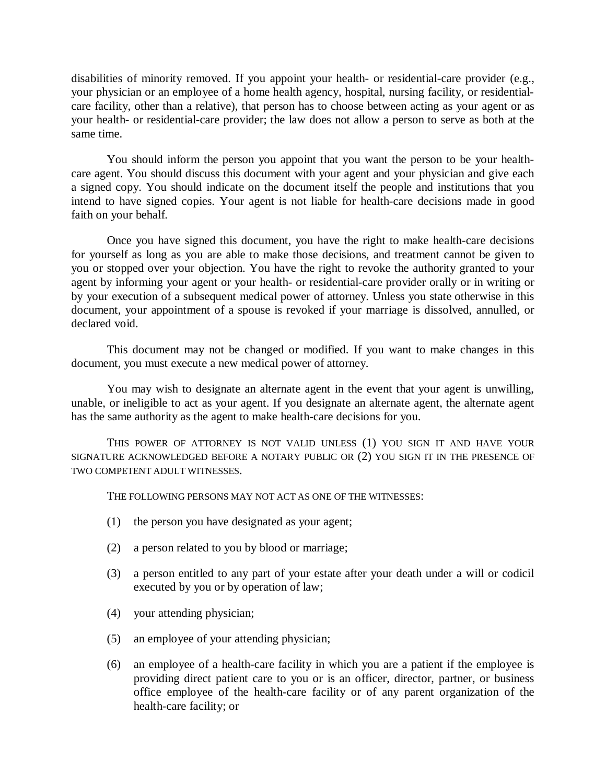disabilities of minority removed. If you appoint your health- or residential-care provider (e.g., your physician or an employee of a home health agency, hospital, nursing facility, or residentialcare facility, other than a relative), that person has to choose between acting as your agent or as your health- or residential-care provider; the law does not allow a person to serve as both at the same time.

You should inform the person you appoint that you want the person to be your healthcare agent. You should discuss this document with your agent and your physician and give each a signed copy. You should indicate on the document itself the people and institutions that you intend to have signed copies. Your agent is not liable for health-care decisions made in good faith on your behalf.

Once you have signed this document, you have the right to make health-care decisions for yourself as long as you are able to make those decisions, and treatment cannot be given to you or stopped over your objection. You have the right to revoke the authority granted to your agent by informing your agent or your health- or residential-care provider orally or in writing or by your execution of a subsequent medical power of attorney. Unless you state otherwise in this document, your appointment of a spouse is revoked if your marriage is dissolved, annulled, or declared void.

This document may not be changed or modified. If you want to make changes in this document, you must execute a new medical power of attorney.

You may wish to designate an alternate agent in the event that your agent is unwilling, unable, or ineligible to act as your agent. If you designate an alternate agent, the alternate agent has the same authority as the agent to make health-care decisions for you.

THIS POWER OF ATTORNEY IS NOT VALID UNLESS (1) YOU SIGN IT AND HAVE YOUR SIGNATURE ACKNOWLEDGED BEFORE A NOTARY PUBLIC OR (2) YOU SIGN IT IN THE PRESENCE OF TWO COMPETENT ADULT WITNESSES.

THE FOLLOWING PERSONS MAY NOT ACT AS ONE OF THE WITNESSES:

- (1) the person you have designated as your agent;
- (2) a person related to you by blood or marriage;
- (3) a person entitled to any part of your estate after your death under a will or codicil executed by you or by operation of law;
- (4) your attending physician;
- (5) an employee of your attending physician;
- (6) an employee of a health-care facility in which you are a patient if the employee is providing direct patient care to you or is an officer, director, partner, or business office employee of the health-care facility or of any parent organization of the health-care facility; or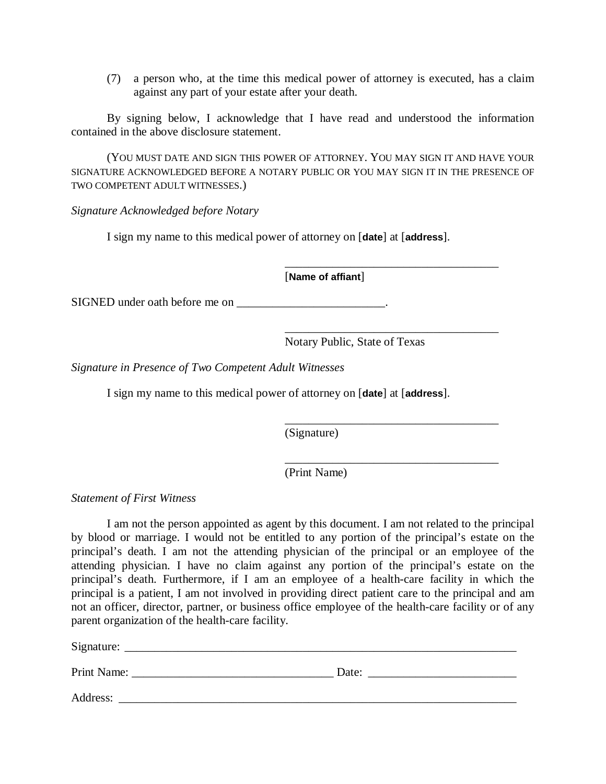(7) a person who, at the time this medical power of attorney is executed, has a claim against any part of your estate after your death.

By signing below, I acknowledge that I have read and understood the information contained in the above disclosure statement.

(YOU MUST DATE AND SIGN THIS POWER OF ATTORNEY. YOU MAY SIGN IT AND HAVE YOUR SIGNATURE ACKNOWLEDGED BEFORE A NOTARY PUBLIC OR YOU MAY SIGN IT IN THE PRESENCE OF TWO COMPETENT ADULT WITNESSES.)

*Signature Acknowledged before Notary*

I sign my name to this medical power of attorney on [**date**] at [**address**].

[**Name of affiant**]

SIGNED under oath before me on  $\blacksquare$ 

Notary Public, State of Texas

\_\_\_\_\_\_\_\_\_\_\_\_\_\_\_\_\_\_\_\_\_\_\_\_\_\_\_\_\_\_\_\_\_\_\_\_

\_\_\_\_\_\_\_\_\_\_\_\_\_\_\_\_\_\_\_\_\_\_\_\_\_\_\_\_\_\_\_\_\_\_\_\_

\_\_\_\_\_\_\_\_\_\_\_\_\_\_\_\_\_\_\_\_\_\_\_\_\_\_\_\_\_\_\_\_\_\_\_\_

\_\_\_\_\_\_\_\_\_\_\_\_\_\_\_\_\_\_\_\_\_\_\_\_\_\_\_\_\_\_\_\_\_\_\_\_

*Signature in Presence of Two Competent Adult Witnesses*

I sign my name to this medical power of attorney on [**date**] at [**address**].

(Signature)

(Print Name)

*Statement of First Witness*

I am not the person appointed as agent by this document. I am not related to the principal by blood or marriage. I would not be entitled to any portion of the principal's estate on the principal's death. I am not the attending physician of the principal or an employee of the attending physician. I have no claim against any portion of the principal's estate on the principal's death. Furthermore, if I am an employee of a health-care facility in which the principal is a patient, I am not involved in providing direct patient care to the principal and am not an officer, director, partner, or business office employee of the health-care facility or of any parent organization of the health-care facility.

Signature: \_\_\_\_\_\_\_\_\_\_\_\_\_\_\_\_\_\_\_\_\_\_\_\_\_\_\_\_\_\_\_\_\_\_\_\_\_\_\_\_\_\_\_\_\_\_\_\_\_\_\_\_\_\_\_\_\_\_\_\_\_\_\_\_\_\_

Print Name: \_\_\_\_\_\_\_\_\_\_\_\_\_\_\_\_\_\_\_\_\_\_\_\_\_\_\_\_\_\_\_\_\_\_ Date: \_\_\_\_\_\_\_\_\_\_\_\_\_\_\_\_\_\_\_\_\_\_\_\_\_

Address: